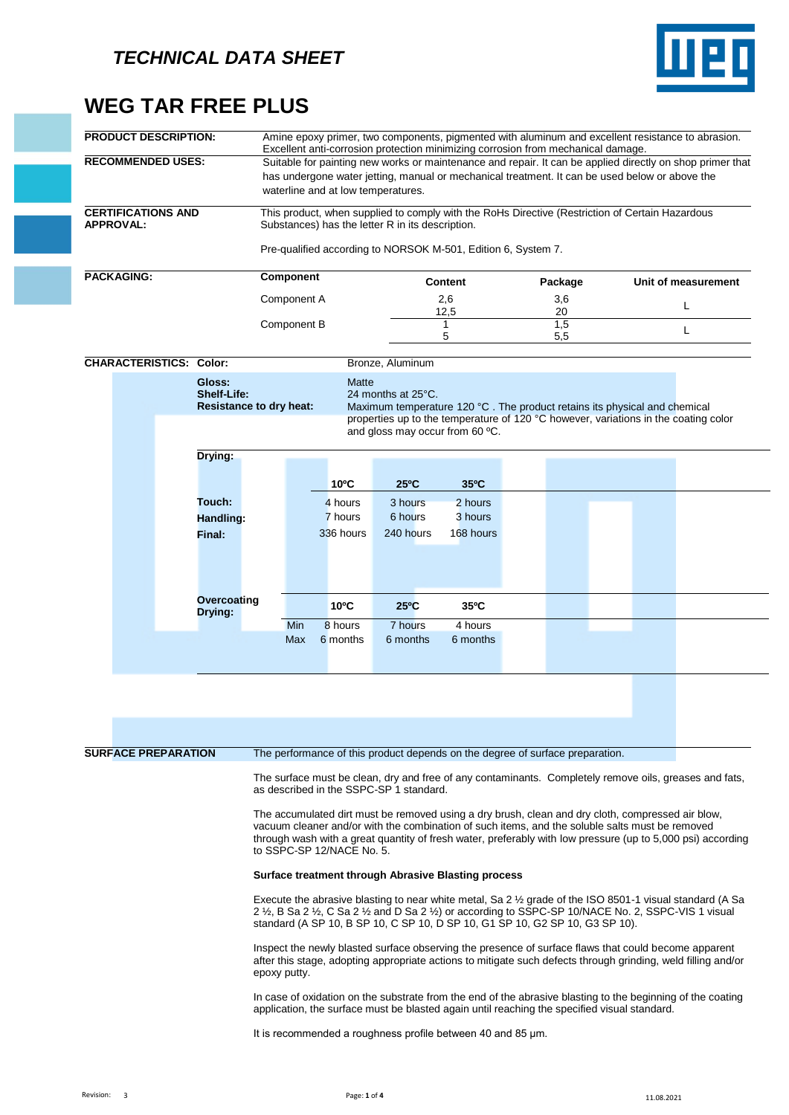

## **WEG TAR FREE PLUS**

| Component<br>Component A<br>Component B<br><b>Shelf-Life:</b><br><b>Resistance to dry heat:</b> | waterline and at low temperatures.<br>Matte<br>$10^{\circ}$ C | Substances) has the letter R in its description.<br>Bronze, Aluminum<br>24 months at 25°C.<br>and gloss may occur from 60 °C.<br>$25^{\circ}$ C | Pre-qualified according to NORSOK M-501, Edition 6, System 7.<br><b>Content</b><br>2,6<br>12,5<br>1<br>5<br>$35^{\circ}$ C | Excellent anti-corrosion protection minimizing corrosion from mechanical damage.<br>Suitable for painting new works or maintenance and repair. It can be applied directly on shop primer that<br>has undergone water jetting, manual or mechanical treatment. It can be used below or above the<br>This product, when supplied to comply with the RoHs Directive (Restriction of Certain Hazardous<br>Package<br>3,6<br>20<br>1,5<br>5,5<br>Maximum temperature 120 °C. The product retains its physical and chemical<br>properties up to the temperature of 120 °C however, variations in the coating color | Unit of measurement<br>L<br>L |
|-------------------------------------------------------------------------------------------------|---------------------------------------------------------------|-------------------------------------------------------------------------------------------------------------------------------------------------|----------------------------------------------------------------------------------------------------------------------------|--------------------------------------------------------------------------------------------------------------------------------------------------------------------------------------------------------------------------------------------------------------------------------------------------------------------------------------------------------------------------------------------------------------------------------------------------------------------------------------------------------------------------------------------------------------------------------------------------------------|-------------------------------|
|                                                                                                 |                                                               |                                                                                                                                                 |                                                                                                                            |                                                                                                                                                                                                                                                                                                                                                                                                                                                                                                                                                                                                              |                               |
|                                                                                                 |                                                               |                                                                                                                                                 |                                                                                                                            |                                                                                                                                                                                                                                                                                                                                                                                                                                                                                                                                                                                                              |                               |
|                                                                                                 |                                                               |                                                                                                                                                 |                                                                                                                            |                                                                                                                                                                                                                                                                                                                                                                                                                                                                                                                                                                                                              |                               |
|                                                                                                 |                                                               |                                                                                                                                                 |                                                                                                                            |                                                                                                                                                                                                                                                                                                                                                                                                                                                                                                                                                                                                              |                               |
|                                                                                                 |                                                               |                                                                                                                                                 |                                                                                                                            |                                                                                                                                                                                                                                                                                                                                                                                                                                                                                                                                                                                                              |                               |
|                                                                                                 |                                                               |                                                                                                                                                 |                                                                                                                            |                                                                                                                                                                                                                                                                                                                                                                                                                                                                                                                                                                                                              |                               |
|                                                                                                 |                                                               |                                                                                                                                                 |                                                                                                                            |                                                                                                                                                                                                                                                                                                                                                                                                                                                                                                                                                                                                              |                               |
|                                                                                                 |                                                               |                                                                                                                                                 |                                                                                                                            |                                                                                                                                                                                                                                                                                                                                                                                                                                                                                                                                                                                                              |                               |
|                                                                                                 |                                                               |                                                                                                                                                 |                                                                                                                            |                                                                                                                                                                                                                                                                                                                                                                                                                                                                                                                                                                                                              |                               |
|                                                                                                 |                                                               |                                                                                                                                                 | 2 hours                                                                                                                    |                                                                                                                                                                                                                                                                                                                                                                                                                                                                                                                                                                                                              |                               |
| Handling:                                                                                       | 4 hours<br>7 hours                                            | 3 hours<br>6 hours                                                                                                                              | 3 hours                                                                                                                    |                                                                                                                                                                                                                                                                                                                                                                                                                                                                                                                                                                                                              |                               |
|                                                                                                 | 336 hours                                                     | 240 hours                                                                                                                                       | 168 hours                                                                                                                  |                                                                                                                                                                                                                                                                                                                                                                                                                                                                                                                                                                                                              |                               |
|                                                                                                 |                                                               |                                                                                                                                                 |                                                                                                                            |                                                                                                                                                                                                                                                                                                                                                                                                                                                                                                                                                                                                              |                               |
|                                                                                                 |                                                               |                                                                                                                                                 |                                                                                                                            |                                                                                                                                                                                                                                                                                                                                                                                                                                                                                                                                                                                                              |                               |
|                                                                                                 | 6 months                                                      | 6 months                                                                                                                                        | 6 months                                                                                                                   |                                                                                                                                                                                                                                                                                                                                                                                                                                                                                                                                                                                                              |                               |
| Drying:                                                                                         | Overcoating                                                   | $10^{\circ}$ C<br>8 hours<br>Min<br>Max                                                                                                         | $25^{\circ}$ C<br>7 hours                                                                                                  | $35^{\circ}$ C<br>4 hours                                                                                                                                                                                                                                                                                                                                                                                                                                                                                                                                                                                    |                               |

**SURFACE PREPARATION** The performance of this product depends on the degree of surface preparation.

The surface must be clean, dry and free of any contaminants. Completely remove oils, greases and fats, as described in the SSPC-SP 1 standard.

The accumulated dirt must be removed using a dry brush, clean and dry cloth, compressed air blow, vacuum cleaner and/or with the combination of such items, and the soluble salts must be removed through wash with a great quantity of fresh water, preferably with low pressure (up to 5,000 psi) according to SSPC-SP 12/NACE No. 5.

## **Surface treatment through Abrasive Blasting process**

Execute the abrasive blasting to near white metal, Sa 2 ½ grade of the ISO 8501-1 visual standard (A Sa 2 ½, B Sa 2 ½, C Sa 2 ½ and D Sa 2 ½) or according to SSPC-SP 10/NACE No. 2, SSPC-VIS 1 visual standard (A SP 10, B SP 10, C SP 10, D SP 10, G1 SP 10, G2 SP 10, G3 SP 10).

Inspect the newly blasted surface observing the presence of surface flaws that could become apparent after this stage, adopting appropriate actions to mitigate such defects through grinding, weld filling and/or epoxy putty.

In case of oxidation on the substrate from the end of the abrasive blasting to the beginning of the coating application, the surface must be blasted again until reaching the specified visual standard.

It is recommended a roughness profile between 40 and 85 μm.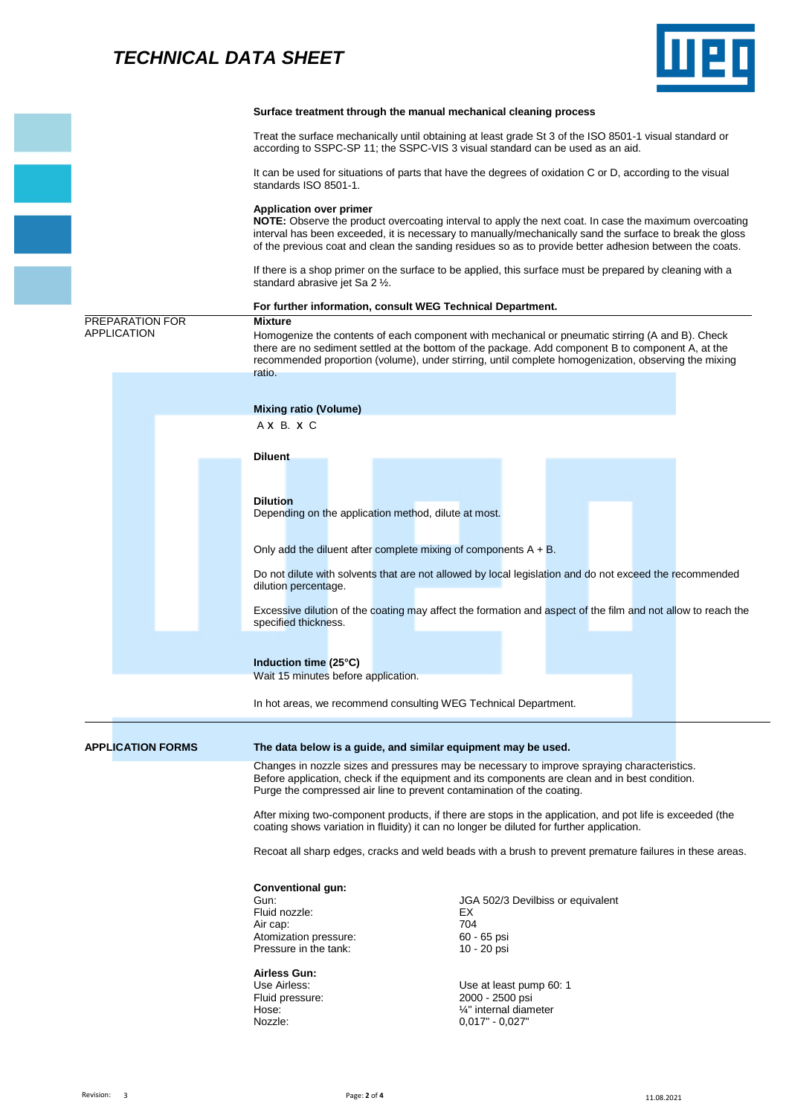## *TECHNICAL DATA SHEET*



|                                       |                                                                         | Surface treatment through the manual mechanical cleaning process                                                                                                                                                                                                                                                              |  |  |  |  |  |  |
|---------------------------------------|-------------------------------------------------------------------------|-------------------------------------------------------------------------------------------------------------------------------------------------------------------------------------------------------------------------------------------------------------------------------------------------------------------------------|--|--|--|--|--|--|
|                                       |                                                                         | Treat the surface mechanically until obtaining at least grade St 3 of the ISO 8501-1 visual standard or<br>according to SSPC-SP 11; the SSPC-VIS 3 visual standard can be used as an aid.                                                                                                                                     |  |  |  |  |  |  |
|                                       | standards ISO 8501-1.                                                   | It can be used for situations of parts that have the degrees of oxidation C or D, according to the visual                                                                                                                                                                                                                     |  |  |  |  |  |  |
|                                       | <b>Application over primer</b>                                          | NOTE: Observe the product overcoating interval to apply the next coat. In case the maximum overcoating<br>interval has been exceeded, it is necessary to manually/mechanically sand the surface to break the gloss<br>of the previous coat and clean the sanding residues so as to provide better adhesion between the coats. |  |  |  |  |  |  |
|                                       | standard abrasive jet Sa 2 1/2.                                         | If there is a shop primer on the surface to be applied, this surface must be prepared by cleaning with a                                                                                                                                                                                                                      |  |  |  |  |  |  |
|                                       |                                                                         | For further information, consult WEG Technical Department.                                                                                                                                                                                                                                                                    |  |  |  |  |  |  |
| PREPARATION FOR<br><b>APPLICATION</b> | <b>Mixture</b><br>ratio.                                                | Homogenize the contents of each component with mechanical or pneumatic stirring (A and B). Check<br>there are no sediment settled at the bottom of the package. Add component B to component A, at the<br>recommended proportion (volume), under stirring, until complete homogenization, observing the mixing                |  |  |  |  |  |  |
|                                       |                                                                         |                                                                                                                                                                                                                                                                                                                               |  |  |  |  |  |  |
|                                       | <b>Mixing ratio (Volume)</b>                                            |                                                                                                                                                                                                                                                                                                                               |  |  |  |  |  |  |
|                                       | AXB.XC                                                                  |                                                                                                                                                                                                                                                                                                                               |  |  |  |  |  |  |
|                                       | <b>Diluent</b>                                                          |                                                                                                                                                                                                                                                                                                                               |  |  |  |  |  |  |
|                                       |                                                                         |                                                                                                                                                                                                                                                                                                                               |  |  |  |  |  |  |
|                                       | <b>Dilution</b><br>Depending on the application method, dilute at most. |                                                                                                                                                                                                                                                                                                                               |  |  |  |  |  |  |
|                                       |                                                                         | Only add the diluent after complete mixing of components $A + B$ .                                                                                                                                                                                                                                                            |  |  |  |  |  |  |
|                                       | dilution percentage.                                                    | Do not dilute with solvents that are not allowed by local legislation and do not exceed the recommended                                                                                                                                                                                                                       |  |  |  |  |  |  |
|                                       | specified thickness.                                                    | Excessive dilution of the coating may affect the formation and aspect of the film and not allow to reach the                                                                                                                                                                                                                  |  |  |  |  |  |  |
|                                       | Induction time (25°C)<br>Wait 15 minutes before application.            |                                                                                                                                                                                                                                                                                                                               |  |  |  |  |  |  |
|                                       |                                                                         | In hot areas, we recommend consulting WEG Technical Department.                                                                                                                                                                                                                                                               |  |  |  |  |  |  |
| <b>APPLICATION FORMS</b>              |                                                                         | The data below is a guide, and similar equipment may be used.                                                                                                                                                                                                                                                                 |  |  |  |  |  |  |
|                                       |                                                                         | Changes in nozzle sizes and pressures may be necessary to improve spraying characteristics.<br>Before application, check if the equipment and its components are clean and in best condition.<br>Purge the compressed air line to prevent contamination of the coating.                                                       |  |  |  |  |  |  |
|                                       |                                                                         | After mixing two-component products, if there are stops in the application, and pot life is exceeded (the<br>coating shows variation in fluidity) it can no longer be diluted for further application.                                                                                                                        |  |  |  |  |  |  |
|                                       |                                                                         | Recoat all sharp edges, cracks and weld beads with a brush to prevent premature failures in these areas.                                                                                                                                                                                                                      |  |  |  |  |  |  |
|                                       | <b>Conventional gun:</b>                                                |                                                                                                                                                                                                                                                                                                                               |  |  |  |  |  |  |
|                                       | Gun:                                                                    | JGA 502/3 Devilbiss or equivalent                                                                                                                                                                                                                                                                                             |  |  |  |  |  |  |
|                                       | Fluid nozzle:<br>Air cap:                                               | EX<br>704                                                                                                                                                                                                                                                                                                                     |  |  |  |  |  |  |
|                                       | Atomization pressure:<br>Pressure in the tank:                          | 60 - 65 psi<br>10 - 20 psi                                                                                                                                                                                                                                                                                                    |  |  |  |  |  |  |
|                                       | <b>Airless Gun:</b><br>Use Airless:<br>Fluid pressure:                  | Use at least pump 60: 1<br>2000 - 2500 psi                                                                                                                                                                                                                                                                                    |  |  |  |  |  |  |
|                                       | Hose:                                                                   | 1/4" internal diameter                                                                                                                                                                                                                                                                                                        |  |  |  |  |  |  |
|                                       | Nozzle:                                                                 | $0,017" - 0,027"$                                                                                                                                                                                                                                                                                                             |  |  |  |  |  |  |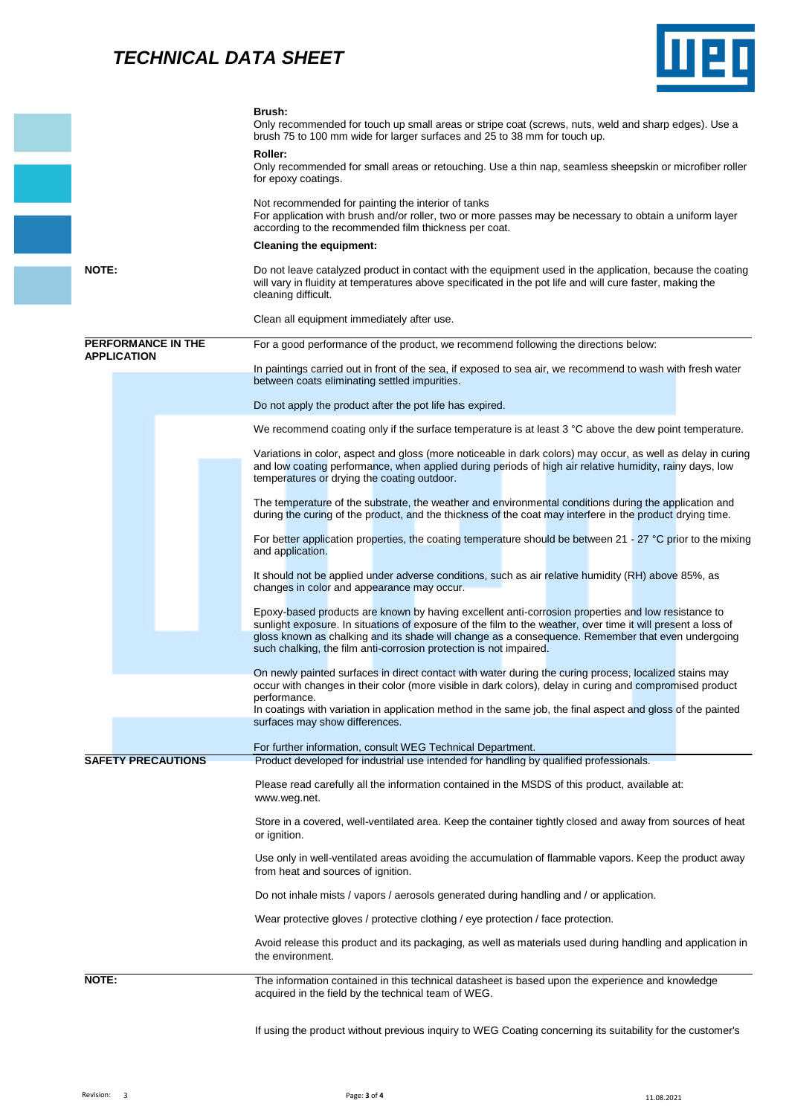## *TECHNICAL DATA SHEET*



|                           |  | Brush:<br>Only recommended for touch up small areas or stripe coat (screws, nuts, weld and sharp edges). Use a<br>brush 75 to 100 mm wide for larger surfaces and 25 to 38 mm for touch up.                                                                                                                                                                                                   |  |  |  |  |  |
|---------------------------|--|-----------------------------------------------------------------------------------------------------------------------------------------------------------------------------------------------------------------------------------------------------------------------------------------------------------------------------------------------------------------------------------------------|--|--|--|--|--|
|                           |  | Roller:<br>Only recommended for small areas or retouching. Use a thin nap, seamless sheepskin or microfiber roller<br>for epoxy coatings.<br>Not recommended for painting the interior of tanks<br>For application with brush and/or roller, two or more passes may be necessary to obtain a uniform layer<br>according to the recommended film thickness per coat.                           |  |  |  |  |  |
|                           |  |                                                                                                                                                                                                                                                                                                                                                                                               |  |  |  |  |  |
|                           |  | <b>Cleaning the equipment:</b>                                                                                                                                                                                                                                                                                                                                                                |  |  |  |  |  |
| <b>NOTE:</b>              |  | Do not leave catalyzed product in contact with the equipment used in the application, because the coating<br>will vary in fluidity at temperatures above specificated in the pot life and will cure faster, making the<br>cleaning difficult.                                                                                                                                                 |  |  |  |  |  |
|                           |  | Clean all equipment immediately after use.                                                                                                                                                                                                                                                                                                                                                    |  |  |  |  |  |
| <b>PERFORMANCE IN THE</b> |  | For a good performance of the product, we recommend following the directions below:                                                                                                                                                                                                                                                                                                           |  |  |  |  |  |
| <b>APPLICATION</b>        |  | In paintings carried out in front of the sea, if exposed to sea air, we recommend to wash with fresh water<br>between coats eliminating settled impurities.                                                                                                                                                                                                                                   |  |  |  |  |  |
|                           |  | Do not apply the product after the pot life has expired.                                                                                                                                                                                                                                                                                                                                      |  |  |  |  |  |
|                           |  | We recommend coating only if the surface temperature is at least 3 °C above the dew point temperature.                                                                                                                                                                                                                                                                                        |  |  |  |  |  |
|                           |  | Variations in color, aspect and gloss (more noticeable in dark colors) may occur, as well as delay in curing<br>and low coating performance, when applied during periods of high air relative humidity, rainy days, low<br>temperatures or drying the coating outdoor.                                                                                                                        |  |  |  |  |  |
|                           |  | The temperature of the substrate, the weather and environmental conditions during the application and<br>during the curing of the product, and the thickness of the coat may interfere in the product drying time.                                                                                                                                                                            |  |  |  |  |  |
|                           |  | For better application properties, the coating temperature should be between $21 - 27$ °C prior to the mixing<br>and application.                                                                                                                                                                                                                                                             |  |  |  |  |  |
|                           |  | It should not be applied under adverse conditions, such as air relative humidity (RH) above 85%, as<br>changes in color and appearance may occur.                                                                                                                                                                                                                                             |  |  |  |  |  |
|                           |  | Epoxy-based products are known by having excellent anti-corrosion properties and low resistance to<br>sunlight exposure. In situations of exposure of the film to the weather, over time it will present a loss of<br>gloss known as chalking and its shade will change as a consequence. Remember that even undergoing<br>such chalking, the film anti-corrosion protection is not impaired. |  |  |  |  |  |
|                           |  | On newly painted surfaces in direct contact with water during the curing process, localized stains may<br>occur with changes in their color (more visible in dark colors), delay in curing and compromised product                                                                                                                                                                            |  |  |  |  |  |
|                           |  | performance.<br>In coatings with variation in application method in the same job, the final aspect and gloss of the painted<br>surfaces may show differences.                                                                                                                                                                                                                                 |  |  |  |  |  |
|                           |  | For further information, consult WEG Technical Department.                                                                                                                                                                                                                                                                                                                                    |  |  |  |  |  |
| <b>SAFETY PRECAUTIONS</b> |  | Product developed for industrial use intended for handling by qualified professionals.                                                                                                                                                                                                                                                                                                        |  |  |  |  |  |
|                           |  | Please read carefully all the information contained in the MSDS of this product, available at:<br>www.weg.net.                                                                                                                                                                                                                                                                                |  |  |  |  |  |
|                           |  | Store in a covered, well-ventilated area. Keep the container tightly closed and away from sources of heat<br>or ignition.                                                                                                                                                                                                                                                                     |  |  |  |  |  |
|                           |  | Use only in well-ventilated areas avoiding the accumulation of flammable vapors. Keep the product away<br>from heat and sources of ignition.                                                                                                                                                                                                                                                  |  |  |  |  |  |
|                           |  | Do not inhale mists / vapors / aerosols generated during handling and / or application.                                                                                                                                                                                                                                                                                                       |  |  |  |  |  |
|                           |  | Wear protective gloves / protective clothing / eye protection / face protection.                                                                                                                                                                                                                                                                                                              |  |  |  |  |  |
|                           |  | Avoid release this product and its packaging, as well as materials used during handling and application in<br>the environment.                                                                                                                                                                                                                                                                |  |  |  |  |  |
| NOTE:                     |  | The information contained in this technical datasheet is based upon the experience and knowledge<br>acquired in the field by the technical team of WEG.                                                                                                                                                                                                                                       |  |  |  |  |  |
|                           |  | If using the product without previous inquiry to WEG Coating concerning its suitability for the customer's                                                                                                                                                                                                                                                                                    |  |  |  |  |  |